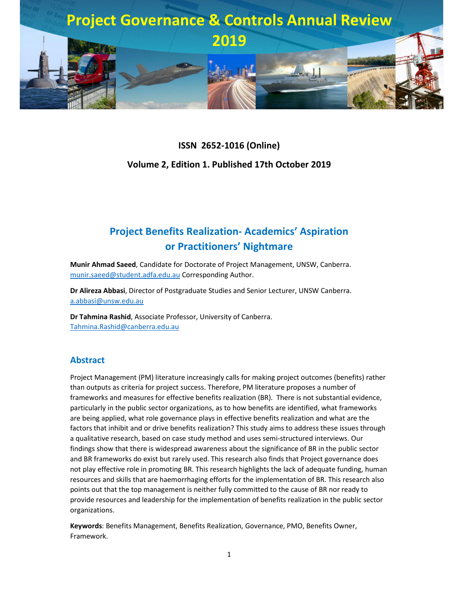

# **ISSN 2652-1016 (Online) Volume 2, Edition 1. Published 17th October 2019**

## **Project Benefits Realization- Academics' Aspiration or Practitioners' Nightmare**

**Munir Ahmad Saeed**, Candidate for Doctorate of Project Management, UNSW, Canberra. munir.saeed@student.adfa.edu.au Corresponding Author.

**Dr Alireza Abbasi**, Director of Postgraduate Studies and Senior Lecturer, UNSW Canberra. a.abbasi@unsw.edu.au

**Dr Tahmina Rashid**, Associate Professor, University of Canberra. Tahmina.Rashid@canberra.edu.au

#### **Abstract**

Project Management (PM) literature increasingly calls for making project outcomes (benefits) rather than outputs as criteria for project success. Therefore, PM literature proposes a number of frameworks and measures for effective benefits realization (BR). There is not substantial evidence, particularly in the public sector organizations, as to how benefits are identified, what frameworks are being applied, what role governance plays in effective benefits realization and what are the factors that inhibit and or drive benefits realization? This study aims to address these issues through a qualitative research, based on case study method and uses semi-structured interviews. Our findings show that there is widespread awareness about the significance of BR in the public sector and BR frameworks do exist but rarely used. This research also finds that Project governance does not play effective role in promoting BR. This research highlights the lack of adequate funding, human resources and skills that are haemorrhaging efforts for the implementation of BR. This research also points out that the top management is neither fully committed to the cause of BR nor ready to provide resources and leadership for the implementation of benefits realization in the public sector organizations.

**Keywords**: Benefits Management, Benefits Realization, Governance, PMO, Benefits Owner, Framework.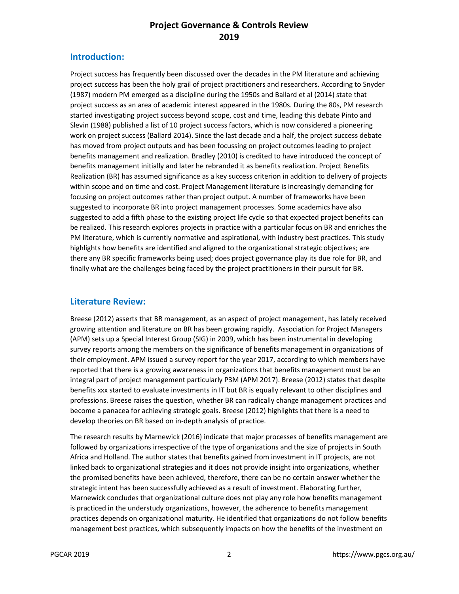#### **Introduction:**

Project success has frequently been discussed over the decades in the PM literature and achieving project success has been the holy grail of project practitioners and researchers. According to Snyder (1987) modern PM emerged as a discipline during the 1950s and Ballard et al (2014) state that project success as an area of academic interest appeared in the 1980s. During the 80s, PM research started investigating project success beyond scope, cost and time, leading this debate Pinto and Slevin (1988) published a list of 10 project success factors, which is now considered a pioneering work on project success (Ballard 2014). Since the last decade and a half, the project success debate has moved from project outputs and has been focussing on project outcomes leading to project benefits management and realization. Bradley (2010) is credited to have introduced the concept of benefits management initially and later he rebranded it as benefits realization. Project Benefits Realization (BR) has assumed significance as a key success criterion in addition to delivery of projects within scope and on time and cost. Project Management literature is increasingly demanding for focusing on project outcomes rather than project output. A number of frameworks have been suggested to incorporate BR into project management processes. Some academics have also suggested to add a fifth phase to the existing project life cycle so that expected project benefits can be realized. This research explores projects in practice with a particular focus on BR and enriches the PM literature, which is currently normative and aspirational, with industry best practices. This study highlights how benefits are identified and aligned to the organizational strategic objectives; are there any BR specific frameworks being used; does project governance play its due role for BR, and finally what are the challenges being faced by the project practitioners in their pursuit for BR.

#### **Literature Review:**

Breese (2012) asserts that BR management, as an aspect of project management, has lately received growing attention and literature on BR has been growing rapidly. Association for Project Managers (APM) sets up a Special Interest Group (SIG) in 2009, which has been instrumental in developing survey reports among the members on the significance of benefits management in organizations of their employment. APM issued a survey report for the year 2017, according to which members have reported that there is a growing awareness in organizations that benefits management must be an integral part of project management particularly P3M (APM 2017). Breese (2012) states that despite benefits xxx started to evaluate investments in IT but BR is equally relevant to other disciplines and professions. Breese raises the question, whether BR can radically change management practices and become a panacea for achieving strategic goals. Breese (2012) highlights that there is a need to develop theories on BR based on in-depth analysis of practice.

The research results by Marnewick (2016) indicate that major processes of benefits management are followed by organizations irrespective of the type of organizations and the size of projects in South Africa and Holland. The author states that benefits gained from investment in IT projects, are not linked back to organizational strategies and it does not provide insight into organizations, whether the promised benefits have been achieved, therefore, there can be no certain answer whether the strategic intent has been successfully achieved as a result of investment. Elaborating further, Marnewick concludes that organizational culture does not play any role how benefits management is practiced in the understudy organizations, however, the adherence to benefits management practices depends on organizational maturity. He identified that organizations do not follow benefits management best practices, which subsequently impacts on how the benefits of the investment on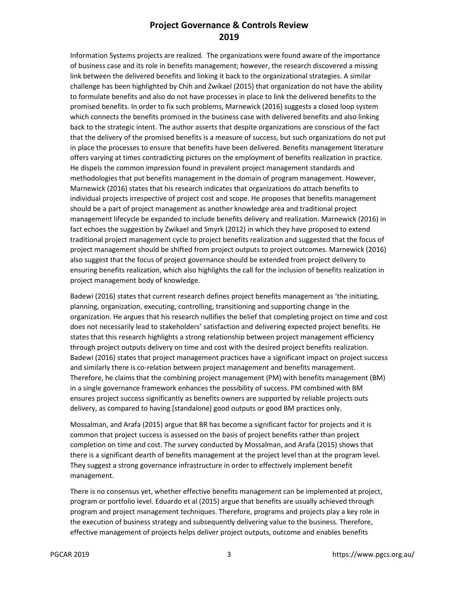Information Systems projects are realized. The organizations were found aware of the importance of business case and its role in benefits management; however, the research discovered a missing link between the delivered benefits and linking it back to the organizational strategies. A similar challenge has been highlighted by Chih and Zwikael (2015) that organization do not have the ability to formulate benefits and also do not have processes in place to link the delivered benefits to the promised benefits. In order to fix such problems, Marnewick (2016) suggests a closed loop system which connects the benefits promised in the business case with delivered benefits and also linking back to the strategic intent. The author asserts that despite organizations are conscious of the fact that the delivery of the promised benefits is a measure of success, but such organizations do not put in place the processes to ensure that benefits have been delivered. Benefits management literature offers varying at times contradicting pictures on the employment of benefits realization in practice. He dispels the common impression found in prevalent project management standards and methodologies that put benefits management in the domain of program management. However, Marnewick (2016) states that his research indicates that organizations do attach benefits to individual projects irrespective of project cost and scope. He proposes that benefits management should be a part of project management as another knowledge area and traditional project management lifecycle be expanded to include benefits delivery and realization. Marnewick (2016) in fact echoes the suggestion by Zwikael and Smyrk (2012) in which they have proposed to extend traditional project management cycle to project benefits realization and suggested that the focus of project management should be shifted from project outputs to project outcomes. Marnewick (2016) also suggest that the focus of project governance should be extended from project delivery to ensuring benefits realization, which also highlights the call for the inclusion of benefits realization in project management body of knowledge.

Badewi (2016) states that current research defines project benefits management as 'the initiating, planning, organization, executing, controlling, transitioning and supporting change in the organization. He argues that his research nullifies the belief that completing project on time and cost does not necessarily lead to stakeholders' satisfaction and delivering expected project benefits. He states that this research highlights a strong relationship between project management efficiency through project outputs delivery on time and cost with the desired project benefits realization. Badewi (2016) states that project management practices have a significant impact on project success and similarly there is co-relation between project management and benefits management. Therefore, he claims that the combining project management (PM) with benefits management (BM) in a single governance framework enhances the possibility of success. PM combined with BM ensures project success significantly as benefits owners are supported by reliable projects outs delivery, as compared to having [standalone] good outputs or good BM practices only.

Mossalman, and Arafa (2015) argue that BR has become a significant factor for projects and it is common that project success is assessed on the basis of project benefits rather than project completion on time and cost. The survey conducted by Mossalman, and Arafa (2015) shows that there is a significant dearth of benefits management at the project level than at the program level. They suggest a strong governance infrastructure in order to effectively implement benefit management.

There is no consensus yet, whether effective benefits management can be implemented at project, program or portfolio level. Eduardo et al (2015) argue that benefits are usually achieved through program and project management techniques. Therefore, programs and projects play a key role in the execution of business strategy and subsequently delivering value to the business. Therefore, effective management of projects helps deliver project outputs, outcome and enables benefits

PGCAR 2019 3 https://www.pgcs.org.au/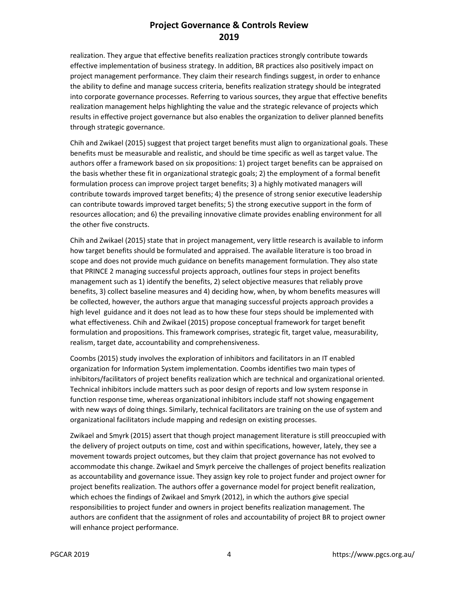realization. They argue that effective benefits realization practices strongly contribute towards effective implementation of business strategy. In addition, BR practices also positively impact on project management performance. They claim their research findings suggest, in order to enhance the ability to define and manage success criteria, benefits realization strategy should be integrated into corporate governance processes. Referring to various sources, they argue that effective benefits realization management helps highlighting the value and the strategic relevance of projects which results in effective project governance but also enables the organization to deliver planned benefits through strategic governance.

Chih and Zwikael (2015) suggest that project target benefits must align to organizational goals. These benefits must be measurable and realistic, and should be time specific as well as target value. The authors offer a framework based on six propositions: 1) project target benefits can be appraised on the basis whether these fit in organizational strategic goals; 2) the employment of a formal benefit formulation process can improve project target benefits; 3) a highly motivated managers will contribute towards improved target benefits; 4) the presence of strong senior executive leadership can contribute towards improved target benefits; 5) the strong executive support in the form of resources allocation; and 6) the prevailing innovative climate provides enabling environment for all the other five constructs.

Chih and Zwikael (2015) state that in project management, very little research is available to inform how target benefits should be formulated and appraised. The available literature is too broad in scope and does not provide much guidance on benefits management formulation. They also state that PRINCE 2 managing successful projects approach, outlines four steps in project benefits management such as 1) identify the benefits, 2) select objective measures that reliably prove benefits, 3) collect baseline measures and 4) deciding how, when, by whom benefits measures will be collected, however, the authors argue that managing successful projects approach provides a high level guidance and it does not lead as to how these four steps should be implemented with what effectiveness. Chih and Zwikael (2015) propose conceptual framework for target benefit formulation and propositions. This framework comprises, strategic fit, target value, measurability, realism, target date, accountability and comprehensiveness.

Coombs (2015) study involves the exploration of inhibitors and facilitators in an IT enabled organization for Information System implementation. Coombs identifies two main types of inhibitors/facilitators of project benefits realization which are technical and organizational oriented. Technical inhibitors include matters such as poor design of reports and low system response in function response time, whereas organizational inhibitors include staff not showing engagement with new ways of doing things. Similarly, technical facilitators are training on the use of system and organizational facilitators include mapping and redesign on existing processes.

Zwikael and Smyrk (2015) assert that though project management literature is still preoccupied with the delivery of project outputs on time, cost and within specifications, however, lately, they see a movement towards project outcomes, but they claim that project governance has not evolved to accommodate this change. Zwikael and Smyrk perceive the challenges of project benefits realization as accountability and governance issue. They assign key role to project funder and project owner for project benefits realization. The authors offer a governance model for project benefit realization, which echoes the findings of Zwikael and Smyrk (2012), in which the authors give special responsibilities to project funder and owners in project benefits realization management. The authors are confident that the assignment of roles and accountability of project BR to project owner will enhance project performance.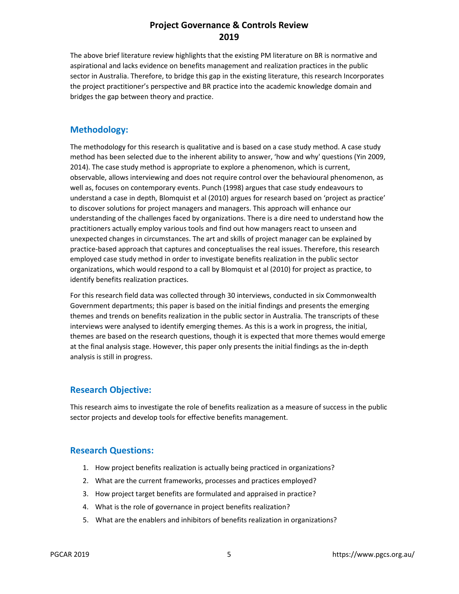The above brief literature review highlights that the existing PM literature on BR is normative and aspirational and lacks evidence on benefits management and realization practices in the public sector in Australia. Therefore, to bridge this gap in the existing literature, this research Incorporates the project practitioner's perspective and BR practice into the academic knowledge domain and bridges the gap between theory and practice.

#### **Methodology:**

The methodology for this research is qualitative and is based on a case study method. A case study method has been selected due to the inherent ability to answer, 'how and why' questions (Yin 2009, 2014). The case study method is appropriate to explore a phenomenon, which is current, observable, allows interviewing and does not require control over the behavioural phenomenon, as well as, focuses on contemporary events. Punch (1998) argues that case study endeavours to understand a case in depth, Blomquist et al (2010) argues for research based on 'project as practice' to discover solutions for project managers and managers. This approach will enhance our understanding of the challenges faced by organizations. There is a dire need to understand how the practitioners actually employ various tools and find out how managers react to unseen and unexpected changes in circumstances. The art and skills of project manager can be explained by practice-based approach that captures and conceptualises the real issues. Therefore, this research employed case study method in order to investigate benefits realization in the public sector organizations, which would respond to a call by Blomquist et al (2010) for project as practice, to identify benefits realization practices.

For this research field data was collected through 30 interviews, conducted in six Commonwealth Government departments; this paper is based on the initial findings and presents the emerging themes and trends on benefits realization in the public sector in Australia. The transcripts of these interviews were analysed to identify emerging themes. As this is a work in progress, the initial, themes are based on the research questions, though it is expected that more themes would emerge at the final analysis stage. However, this paper only presents the initial findings as the in-depth analysis is still in progress.

#### **Research Objective:**

This research aims to investigate the role of benefits realization as a measure of success in the public sector projects and develop tools for effective benefits management.

#### **Research Questions:**

- 1. How project benefits realization is actually being practiced in organizations?
- 2. What are the current frameworks, processes and practices employed?
- 3. How project target benefits are formulated and appraised in practice?
- 4. What is the role of governance in project benefits realization?
- 5. What are the enablers and inhibitors of benefits realization in organizations?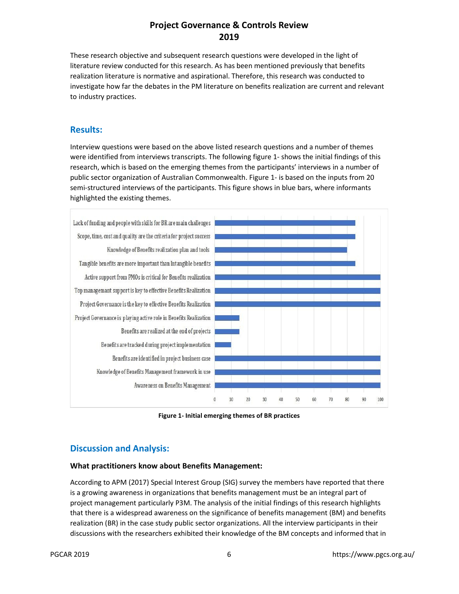These research objective and subsequent research questions were developed in the light of literature review conducted for this research. As has been mentioned previously that benefits realization literature is normative and aspirational. Therefore, this research was conducted to investigate how far the debates in the PM literature on benefits realization are current and relevant to industry practices.

#### **Results:**

Interview questions were based on the above listed research questions and a number of themes were identified from interviews transcripts. The following figure 1- shows the initial findings of this research, which is based on the emerging themes from the participants' interviews in a number of public sector organization of Australian Commonwealth. Figure 1- is based on the inputs from 20 semi-structured interviews of the participants. This figure shows in blue bars, where informants highlighted the existing themes.



**Figure 1- Initial emerging themes of BR practices** 

### **Discussion and Analysis:**

#### **What practitioners know about Benefits Management:**

According to APM (2017) Special Interest Group (SIG) survey the members have reported that there is a growing awareness in organizations that benefits management must be an integral part of project management particularly P3M. The analysis of the initial findings of this research highlights that there is a widespread awareness on the significance of benefits management (BM) and benefits realization (BR) in the case study public sector organizations. All the interview participants in their discussions with the researchers exhibited their knowledge of the BM concepts and informed that in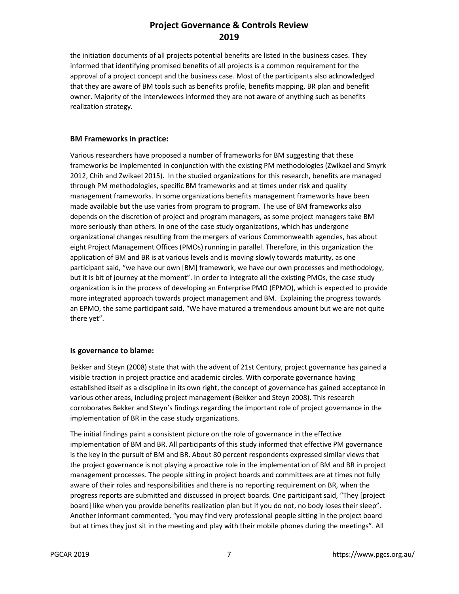the initiation documents of all projects potential benefits are listed in the business cases. They informed that identifying promised benefits of all projects is a common requirement for the approval of a project concept and the business case. Most of the participants also acknowledged that they are aware of BM tools such as benefits profile, benefits mapping, BR plan and benefit owner. Majority of the interviewees informed they are not aware of anything such as benefits realization strategy.

#### **BM Frameworks in practice:**

Various researchers have proposed a number of frameworks for BM suggesting that these frameworks be implemented in conjunction with the existing PM methodologies (Zwikael and Smyrk 2012, Chih and Zwikael 2015). In the studied organizations for this research, benefits are managed through PM methodologies, specific BM frameworks and at times under risk and quality management frameworks. In some organizations benefits management frameworks have been made available but the use varies from program to program. The use of BM frameworks also depends on the discretion of project and program managers, as some project managers take BM more seriously than others. In one of the case study organizations, which has undergone organizational changes resulting from the mergers of various Commonwealth agencies, has about eight Project Management Offices (PMOs) running in parallel. Therefore, in this organization the application of BM and BR is at various levels and is moving slowly towards maturity, as one participant said, "we have our own [BM] framework, we have our own processes and methodology, but it is bit of journey at the moment". In order to integrate all the existing PMOs, the case study organization is in the process of developing an Enterprise PMO (EPMO), which is expected to provide more integrated approach towards project management and BM. Explaining the progress towards an EPMO, the same participant said, "We have matured a tremendous amount but we are not quite there yet".

#### **Is governance to blame:**

Bekker and Steyn (2008) state that with the advent of 21st Century, project governance has gained a visible traction in project practice and academic circles. With corporate governance having established itself as a discipline in its own right, the concept of governance has gained acceptance in various other areas, including project management (Bekker and Steyn 2008). This research corroborates Bekker and Steyn's findings regarding the important role of project governance in the implementation of BR in the case study organizations.

The initial findings paint a consistent picture on the role of governance in the effective implementation of BM and BR. All participants of this study informed that effective PM governance is the key in the pursuit of BM and BR. About 80 percent respondents expressed similar views that the project governance is not playing a proactive role in the implementation of BM and BR in project management processes. The people sitting in project boards and committees are at times not fully aware of their roles and responsibilities and there is no reporting requirement on BR, when the progress reports are submitted and discussed in project boards. One participant said, "They [project board] like when you provide benefits realization plan but if you do not, no body loses their sleep". Another informant commented, "you may find very professional people sitting in the project board but at times they just sit in the meeting and play with their mobile phones during the meetings". All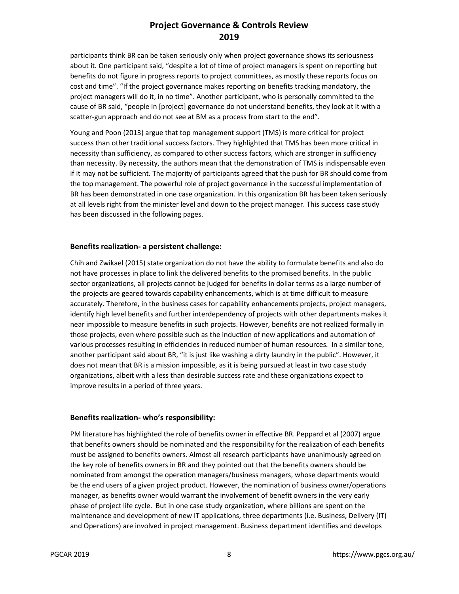participants think BR can be taken seriously only when project governance shows its seriousness about it. One participant said, "despite a lot of time of project managers is spent on reporting but benefits do not figure in progress reports to project committees, as mostly these reports focus on cost and time". "If the project governance makes reporting on benefits tracking mandatory, the project managers will do it, in no time". Another participant, who is personally committed to the cause of BR said, "people in [project] governance do not understand benefits, they look at it with a scatter-gun approach and do not see at BM as a process from start to the end".

Young and Poon (2013) argue that top management support (TMS) is more critical for project success than other traditional success factors. They highlighted that TMS has been more critical in necessity than sufficiency, as compared to other success factors, which are stronger in sufficiency than necessity. By necessity, the authors mean that the demonstration of TMS is indispensable even if it may not be sufficient. The majority of participants agreed that the push for BR should come from the top management. The powerful role of project governance in the successful implementation of BR has been demonstrated in one case organization. In this organization BR has been taken seriously at all levels right from the minister level and down to the project manager. This success case study has been discussed in the following pages.

#### **Benefits realization- a persistent challenge:**

Chih and Zwikael (2015) state organization do not have the ability to formulate benefits and also do not have processes in place to link the delivered benefits to the promised benefits. In the public sector organizations, all projects cannot be judged for benefits in dollar terms as a large number of the projects are geared towards capability enhancements, which is at time difficult to measure accurately. Therefore, in the business cases for capability enhancements projects, project managers, identify high level benefits and further interdependency of projects with other departments makes it near impossible to measure benefits in such projects. However, benefits are not realized formally in those projects, even where possible such as the induction of new applications and automation of various processes resulting in efficiencies in reduced number of human resources. In a similar tone, another participant said about BR, "it is just like washing a dirty laundry in the public". However, it does not mean that BR is a mission impossible, as it is being pursued at least in two case study organizations, albeit with a less than desirable success rate and these organizations expect to improve results in a period of three years.

#### **Benefits realization- who's responsibility:**

PM literature has highlighted the role of benefits owner in effective BR. Peppard et al (2007) argue that benefits owners should be nominated and the responsibility for the realization of each benefits must be assigned to benefits owners. Almost all research participants have unanimously agreed on the key role of benefits owners in BR and they pointed out that the benefits owners should be nominated from amongst the operation managers/business managers, whose departments would be the end users of a given project product. However, the nomination of business owner/operations manager, as benefits owner would warrant the involvement of benefit owners in the very early phase of project life cycle. But in one case study organization, where billions are spent on the maintenance and development of new IT applications, three departments (i.e. Business, Delivery (IT) and Operations) are involved in project management. Business department identifies and develops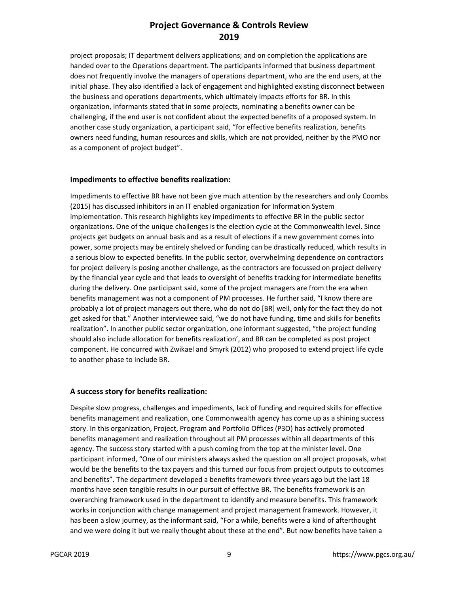project proposals; IT department delivers applications; and on completion the applications are handed over to the Operations department. The participants informed that business department does not frequently involve the managers of operations department, who are the end users, at the initial phase. They also identified a lack of engagement and highlighted existing disconnect between the business and operations departments, which ultimately impacts efforts for BR. In this organization, informants stated that in some projects, nominating a benefits owner can be challenging, if the end user is not confident about the expected benefits of a proposed system. In another case study organization, a participant said, "for effective benefits realization, benefits owners need funding, human resources and skills, which are not provided, neither by the PMO nor as a component of project budget".

#### **Impediments to effective benefits realization:**

Impediments to effective BR have not been give much attention by the researchers and only Coombs (2015) has discussed inhibitors in an IT enabled organization for Information System implementation. This research highlights key impediments to effective BR in the public sector organizations. One of the unique challenges is the election cycle at the Commonwealth level. Since projects get budgets on annual basis and as a result of elections if a new government comes into power, some projects may be entirely shelved or funding can be drastically reduced, which results in a serious blow to expected benefits. In the public sector, overwhelming dependence on contractors for project delivery is posing another challenge, as the contractors are focussed on project delivery by the financial year cycle and that leads to oversight of benefits tracking for intermediate benefits during the delivery. One participant said, some of the project managers are from the era when benefits management was not a component of PM processes. He further said, "I know there are probably a lot of project managers out there, who do not do [BR] well, only for the fact they do not get asked for that." Another interviewee said, "we do not have funding, time and skills for benefits realization". In another public sector organization, one informant suggested, "the project funding should also include allocation for benefits realization', and BR can be completed as post project component. He concurred with Zwikael and Smyrk (2012) who proposed to extend project life cycle to another phase to include BR.

#### **A success story for benefits realization:**

Despite slow progress, challenges and impediments, lack of funding and required skills for effective benefits management and realization, one Commonwealth agency has come up as a shining success story. In this organization, Project, Program and Portfolio Offices (P3O) has actively promoted benefits management and realization throughout all PM processes within all departments of this agency. The success story started with a push coming from the top at the minister level. One participant informed, "One of our ministers always asked the question on all project proposals, what would be the benefits to the tax payers and this turned our focus from project outputs to outcomes and benefits". The department developed a benefits framework three years ago but the last 18 months have seen tangible results in our pursuit of effective BR. The benefits framework is an overarching framework used in the department to identify and measure benefits. This framework works in conjunction with change management and project management framework. However, it has been a slow journey, as the informant said, "For a while, benefits were a kind of afterthought and we were doing it but we really thought about these at the end". But now benefits have taken a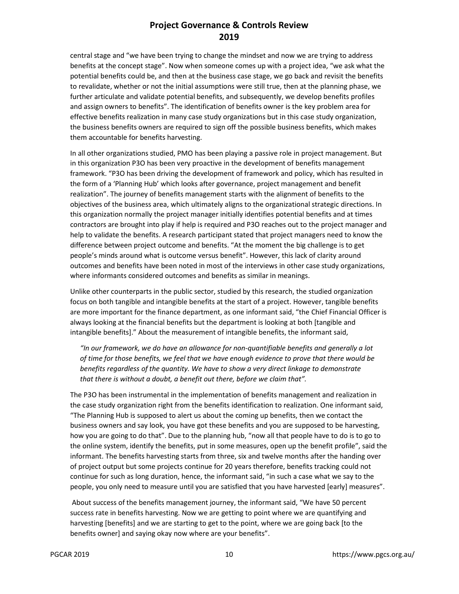central stage and "we have been trying to change the mindset and now we are trying to address benefits at the concept stage". Now when someone comes up with a project idea, "we ask what the potential benefits could be, and then at the business case stage, we go back and revisit the benefits to revalidate, whether or not the initial assumptions were still true, then at the planning phase, we further articulate and validate potential benefits, and subsequently, we develop benefits profiles and assign owners to benefits". The identification of benefits owner is the key problem area for effective benefits realization in many case study organizations but in this case study organization, the business benefits owners are required to sign off the possible business benefits, which makes them accountable for benefits harvesting.

In all other organizations studied, PMO has been playing a passive role in project management. But in this organization P3O has been very proactive in the development of benefits management framework. "P3O has been driving the development of framework and policy, which has resulted in the form of a 'Planning Hub' which looks after governance, project management and benefit realization". The journey of benefits management starts with the alignment of benefits to the objectives of the business area, which ultimately aligns to the organizational strategic directions. In this organization normally the project manager initially identifies potential benefits and at times contractors are brought into play if help is required and P3O reaches out to the project manager and help to validate the benefits. A research participant stated that project managers need to know the difference between project outcome and benefits. "At the moment the big challenge is to get people's minds around what is outcome versus benefit". However, this lack of clarity around outcomes and benefits have been noted in most of the interviews in other case study organizations, where informants considered outcomes and benefits as similar in meanings.

Unlike other counterparts in the public sector, studied by this research, the studied organization focus on both tangible and intangible benefits at the start of a project. However, tangible benefits are more important for the finance department, as one informant said, "the Chief Financial Officer is always looking at the financial benefits but the department is looking at both [tangible and intangible benefits]." About the measurement of intangible benefits, the informant said,

*"In our framework, we do have an allowance for non-quantifiable benefits and generally a lot of time for those benefits, we feel that we have enough evidence to prove that there would be benefits regardless of the quantity. We have to show a very direct linkage to demonstrate that there is without a doubt, a benefit out there, before we claim that".* 

The P3O has been instrumental in the implementation of benefits management and realization in the case study organization right from the benefits identification to realization. One informant said, "The Planning Hub is supposed to alert us about the coming up benefits, then we contact the business owners and say look, you have got these benefits and you are supposed to be harvesting, how you are going to do that". Due to the planning hub, "now all that people have to do is to go to the online system, identify the benefits, put in some measures, open up the benefit profile", said the informant. The benefits harvesting starts from three, six and twelve months after the handing over of project output but some projects continue for 20 years therefore, benefits tracking could not continue for such as long duration, hence, the informant said, "in such a case what we say to the people, you only need to measure until you are satisfied that you have harvested [early] measures".

 About success of the benefits management journey, the informant said, "We have 50 percent success rate in benefits harvesting. Now we are getting to point where we are quantifying and harvesting [benefits] and we are starting to get to the point, where we are going back [to the benefits owner] and saying okay now where are your benefits".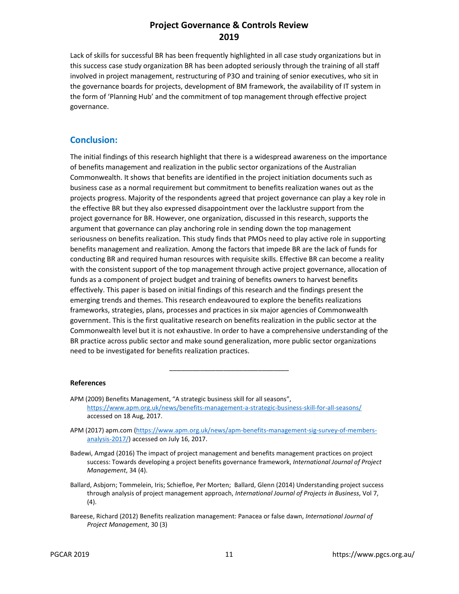Lack of skills for successful BR has been frequently highlighted in all case study organizations but in this success case study organization BR has been adopted seriously through the training of all staff involved in project management, restructuring of P3O and training of senior executives, who sit in the governance boards for projects, development of BM framework, the availability of IT system in the form of 'Planning Hub' and the commitment of top management through effective project governance.

#### **Conclusion:**

The initial findings of this research highlight that there is a widespread awareness on the importance of benefits management and realization in the public sector organizations of the Australian Commonwealth. It shows that benefits are identified in the project initiation documents such as business case as a normal requirement but commitment to benefits realization wanes out as the projects progress. Majority of the respondents agreed that project governance can play a key role in the effective BR but they also expressed disappointment over the lacklustre support from the project governance for BR. However, one organization, discussed in this research, supports the argument that governance can play anchoring role in sending down the top management seriousness on benefits realization. This study finds that PMOs need to play active role in supporting benefits management and realization. Among the factors that impede BR are the lack of funds for conducting BR and required human resources with requisite skills. Effective BR can become a reality with the consistent support of the top management through active project governance, allocation of funds as a component of project budget and training of benefits owners to harvest benefits effectively. This paper is based on initial findings of this research and the findings present the emerging trends and themes. This research endeavoured to explore the benefits realizations frameworks, strategies, plans, processes and practices in six major agencies of Commonwealth government. This is the first qualitative research on benefits realization in the public sector at the Commonwealth level but it is not exhaustive. In order to have a comprehensive understanding of the BR practice across public sector and make sound generalization, more public sector organizations need to be investigated for benefits realization practices.

#### **References**

- APM (2009) Benefits Management, "A strategic business skill for all seasons", https://www.apm.org.uk/news/benefits-management-a-strategic-business-skill-for-all-seasons/ accessed on 18 Aug, 2017.
- APM (2017) apm.com (https://www.apm.org.uk/news/apm-benefits-management-sig-survey-of-membersanalysis-2017/) accessed on July 16, 2017.

\_\_\_\_\_\_\_\_\_\_\_\_\_\_\_\_\_\_\_\_\_\_\_\_\_\_\_\_\_\_\_

- Badewi, Amgad (2016) The impact of project management and benefits management practices on project success: Towards developing a project benefits governance framework, *International Journal of Project Management*, 34 (4).
- Ballard, Asbjorn; Tommelein, Iris; Schiefloe, Per Morten; Ballard, Glenn (2014) Understanding project success through analysis of project management approach, *International Journal of Projects in Business*, Vol 7, (4).
- Bareese, Richard (2012) Benefits realization management: Panacea or false dawn, *International Journal of Project Management*, 30 (3)